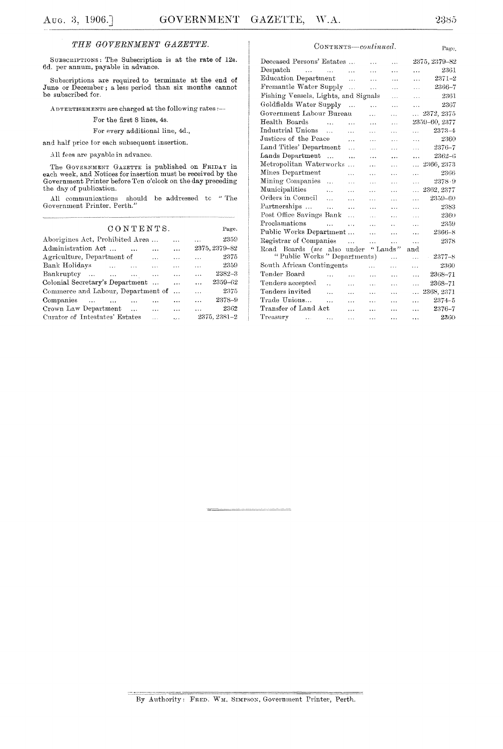Page.

Page.

### THE GOVERNMENT GAZETTE.

SUBSCRIPTIONS: The Subscription is at the rate of 12s. 6d. per annum, payable in advance.

Subscriptions are required to terminate at the end of June or December; a less period than six months cannot be subscribed for.

ADVERTISEMENTS are charged at the following rates :---

For the first 8 lines, 4s.

For every additional line, 4d.,

and half price for each subsequent insertion.

All fees are payable in advance.

The GOVERNMENT GAZETTE is published on FRIDAY in each week, and Notices for insertion must be received by the Government Printer before Ten o'clock on the day preceding the day of publication.

All communications should be addressed to "The Government Printer, Perth.'

### CONTENTS.

| Aborigines Act, Prohibited Area              | $\cdots$  | 2359<br>$\ddotsc$            |  |
|----------------------------------------------|-----------|------------------------------|--|
| Administration Act<br>$\cdots$               | $\ddotsc$ | 2375, 2379-82                |  |
| Agriculture, Department of<br>$\cdots$       | $\cdots$  | 2375<br>$\ddot{\phantom{a}}$ |  |
| Bank Holidays<br>$\sim$ $\sim$ $\sim$ $\sim$ | $\cdots$  | 2359<br>$\cdots$             |  |
| Bankruptcy                                   | $\sim$    | $2382 - 3$<br>$\ddotsc$      |  |
| Colonial Secretary's Department              | $\cdots$  | 2359-62<br>$\ddotsc$         |  |
| Commerce and Labour, Department of           | $\ddots$  | 2375<br>$\ddotsc$            |  |
| Companies<br>$\cdots$                        | $\cdots$  | 2378-9<br>$\ddotsc$          |  |
| Crown Law Department<br>$\cdots$             | $\cdots$  | 2362                         |  |
| Curator of Intestates' Estates<br>$\cdots$   | $\cdots$  | 2375, 2381-2                 |  |

#### CONTENTS-continued.

| Deceased Persons' Estates                       | $\cdots$  | $\cdots$                                                                                           |           | 2375, 2379–82 |
|-------------------------------------------------|-----------|----------------------------------------------------------------------------------------------------|-----------|---------------|
| .                                               | .         | .                                                                                                  | .         | 2361          |
| $\cdots$                                        | $\cdots$  | $\cdots$                                                                                           | .         | $2371 - 2$    |
| Fremantle Water Supply<br>$\ldots$              | .         | $\cdots$                                                                                           | .         | 2366-7        |
|                                                 |           | $\cdots$                                                                                           | .         | 2361          |
| Goldfields Water Supply<br>$\dddotsc$           | $\ddotsc$ | $\ddotsc$                                                                                          | .         | 2367          |
| Government Labour Bureau                        | .         | $\ddotsc$                                                                                          | $\ddotsc$ | 2372, 2375    |
| .                                               | $\cdots$  | $\cdots$                                                                                           |           | 2359-60, 2377 |
| $\ddotsc$                                       | $\cdots$  | .                                                                                                  | $\cdots$  | $2373 - 4$    |
| .                                               | $\cdots$  | $\cdots$                                                                                           | $\ddotsc$ | 2360          |
| Land Titles' Department<br>$\cdots$             | .         | .                                                                                                  | .         | $2376 - 7$    |
| .                                               | .         |                                                                                                    | $\cdots$  | $2362 - 6$    |
| Metropolitan Waterworks<br>$\ddot{\phantom{a}}$ | .         | $\cdots$                                                                                           | $\ddotsc$ | 2366, 2373    |
| $\ddotsc$                                       | .         | .                                                                                                  | $\cdots$  | 2366          |
| .                                               | $\cdots$  | $\cdots$                                                                                           | .         | $2378 - 9$    |
| $\cdots$                                        | .         | .                                                                                                  | .         | 2362, 2377    |
| $\ddotsc$                                       | $\cdots$  | .                                                                                                  | $\ddotsc$ | 2359–60       |
| .                                               | .         | $\cdots$                                                                                           | $\cdots$  | 2383          |
| Post Office Savings Bank<br>$\ddotsc$           | .         | .                                                                                                  | $\ddotsc$ | 2360          |
| $\ddotsc$                                       | $\ddotsc$ | $\ddot{\phantom{a}}$                                                                               | $\cdots$  | 2359          |
| Public Works Department                         | .         | .                                                                                                  | .         | 2366-8        |
| $\ddotsc$                                       | .         | $\ddotsc$                                                                                          | $\ddotsc$ | 2378          |
|                                                 |           |                                                                                                    | and       |               |
|                                                 |           | .                                                                                                  | $\ddotsc$ | $2377 - 8$    |
| South African Contingents                       | $\cdots$  | .                                                                                                  | .         | 2360          |
| $\cdots$                                        | $\cdots$  | .                                                                                                  | $\ddotsc$ | 2368-71       |
| .                                               | $\cdots$  | .                                                                                                  | .         | 2368-71       |
| $\cdots$                                        | .         | $\cdots$                                                                                           | $\ddotsc$ | 2368, 2371    |
| .                                               | .         | .                                                                                                  | .         | $2374 - 5$    |
| .                                               | $\ddotsc$ |                                                                                                    | $\cdots$  | $2376 - 7$    |
| $\cdots$                                        | .         |                                                                                                    | $\ddotsc$ | 2360          |
|                                                 |           | Fishing Vessels, Lights, and Signals<br>Road Boards (see also under<br>"Public Works" Departments) | "Lands"   |               |

By Authority: FRED. WM. SIMPSON, Government Printer, Perth.